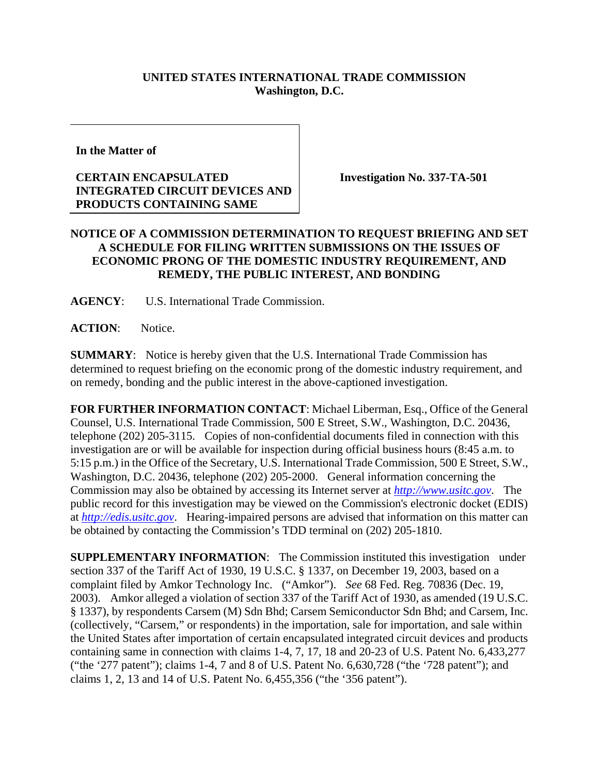## **UNITED STATES INTERNATIONAL TRADE COMMISSION Washington, D.C.**

**In the Matter of** 

## **CERTAIN ENCAPSULATED INTEGRATED CIRCUIT DEVICES AND PRODUCTS CONTAINING SAME**

**Investigation No. 337-TA-501** 

## **NOTICE OF A COMMISSION DETERMINATION TO REQUEST BRIEFING AND SET A SCHEDULE FOR FILING WRITTEN SUBMISSIONS ON THE ISSUES OF ECONOMIC PRONG OF THE DOMESTIC INDUSTRY REQUIREMENT, AND REMEDY, THE PUBLIC INTEREST, AND BONDING**

**AGENCY**: U.S. International Trade Commission.

ACTION: Notice.

**SUMMARY**: Notice is hereby given that the U.S. International Trade Commission has determined to request briefing on the economic prong of the domestic industry requirement, and on remedy, bonding and the public interest in the above-captioned investigation.

**FOR FURTHER INFORMATION CONTACT**: Michael Liberman, Esq., Office of the General Counsel, U.S. International Trade Commission, 500 E Street, S.W., Washington, D.C. 20436, telephone (202) 205-3115. Copies of non-confidential documents filed in connection with this investigation are or will be available for inspection during official business hours (8:45 a.m. to 5:15 p.m.) in the Office of the Secretary, U.S. International Trade Commission, 500 E Street, S.W., Washington, D.C. 20436, telephone (202) 205-2000. General information concerning the Commission may also be obtained by accessing its Internet server at *http://www.usitc.gov*. The public record for this investigation may be viewed on the Commission's electronic docket (EDIS) at *http://edis.usitc.gov*. Hearing-impaired persons are advised that information on this matter can be obtained by contacting the Commission's TDD terminal on (202) 205-1810.

**SUPPLEMENTARY INFORMATION**: The Commission instituted this investigation under section 337 of the Tariff Act of 1930, 19 U.S.C. § 1337, on December 19, 2003, based on a complaint filed by Amkor Technology Inc. ("Amkor"). *See* 68 Fed. Reg. 70836 (Dec. 19, 2003). Amkor alleged a violation of section 337 of the Tariff Act of 1930, as amended (19 U.S.C. § 1337), by respondents Carsem (M) Sdn Bhd; Carsem Semiconductor Sdn Bhd; and Carsem, Inc. (collectively, "Carsem," or respondents) in the importation, sale for importation, and sale within the United States after importation of certain encapsulated integrated circuit devices and products containing same in connection with claims 1-4, 7, 17, 18 and 20-23 of U.S. Patent No. 6,433,277 ("the '277 patent"); claims 1-4, 7 and 8 of U.S. Patent No. 6,630,728 ("the '728 patent"); and claims 1, 2, 13 and 14 of U.S. Patent No. 6,455,356 ("the '356 patent").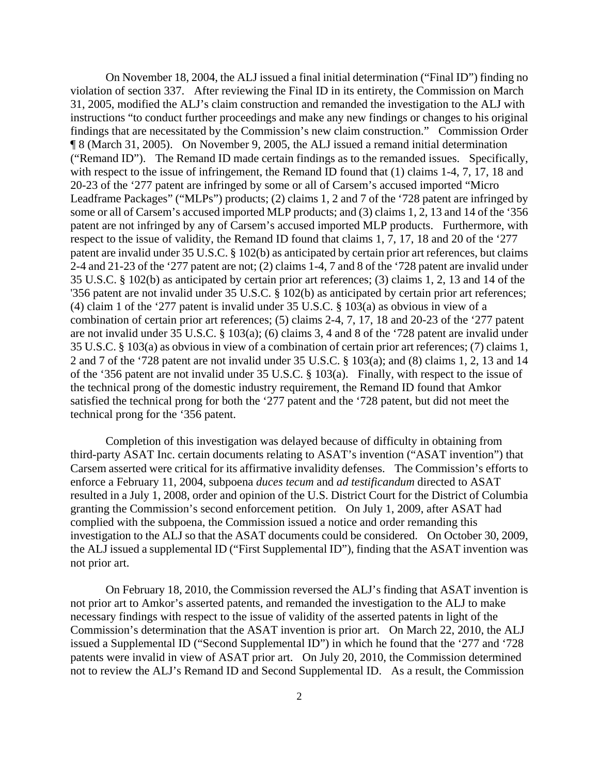On November 18, 2004, the ALJ issued a final initial determination ("Final ID") finding no violation of section 337. After reviewing the Final ID in its entirety, the Commission on March 31, 2005, modified the ALJ's claim construction and remanded the investigation to the ALJ with instructions "to conduct further proceedings and make any new findings or changes to his original findings that are necessitated by the Commission's new claim construction." Commission Order ¶ 8 (March 31, 2005). On November 9, 2005, the ALJ issued a remand initial determination ("Remand ID"). The Remand ID made certain findings as to the remanded issues. Specifically, with respect to the issue of infringement, the Remand ID found that (1) claims 1-4, 7, 17, 18 and 20-23 of the '277 patent are infringed by some or all of Carsem's accused imported "Micro Leadframe Packages" ("MLPs") products; (2) claims 1, 2 and 7 of the '728 patent are infringed by some or all of Carsem's accused imported MLP products; and (3) claims 1, 2, 13 and 14 of the '356 patent are not infringed by any of Carsem's accused imported MLP products. Furthermore, with respect to the issue of validity, the Remand ID found that claims 1, 7, 17, 18 and 20 of the '277 patent are invalid under 35 U.S.C. § 102(b) as anticipated by certain prior art references, but claims 2-4 and 21-23 of the '277 patent are not; (2) claims 1-4, 7 and 8 of the '728 patent are invalid under 35 U.S.C. § 102(b) as anticipated by certain prior art references; (3) claims 1, 2, 13 and 14 of the '356 patent are not invalid under 35 U.S.C. § 102(b) as anticipated by certain prior art references; (4) claim 1 of the '277 patent is invalid under 35 U.S.C. § 103(a) as obvious in view of a combination of certain prior art references; (5) claims 2-4, 7, 17, 18 and 20-23 of the '277 patent are not invalid under 35 U.S.C. § 103(a); (6) claims 3, 4 and 8 of the '728 patent are invalid under 35 U.S.C. § 103(a) as obvious in view of a combination of certain prior art references; (7) claims 1, 2 and 7 of the '728 patent are not invalid under 35 U.S.C. § 103(a); and (8) claims 1, 2, 13 and 14 of the '356 patent are not invalid under 35 U.S.C. § 103(a). Finally, with respect to the issue of the technical prong of the domestic industry requirement, the Remand ID found that Amkor satisfied the technical prong for both the '277 patent and the '728 patent, but did not meet the technical prong for the '356 patent.

 Completion of this investigation was delayed because of difficulty in obtaining from third-party ASAT Inc. certain documents relating to ASAT's invention ("ASAT invention") that Carsem asserted were critical for its affirmative invalidity defenses. The Commission's efforts to enforce a February 11, 2004, subpoena *duces tecum* and *ad testificandum* directed to ASAT resulted in a July 1, 2008, order and opinion of the U.S. District Court for the District of Columbia granting the Commission's second enforcement petition. On July 1, 2009, after ASAT had complied with the subpoena, the Commission issued a notice and order remanding this investigation to the ALJ so that the ASAT documents could be considered. On October 30, 2009, the ALJ issued a supplemental ID ("First Supplemental ID"), finding that the ASAT invention was not prior art.

 On February 18, 2010, the Commission reversed the ALJ's finding that ASAT invention is not prior art to Amkor's asserted patents, and remanded the investigation to the ALJ to make necessary findings with respect to the issue of validity of the asserted patents in light of the Commission's determination that the ASAT invention is prior art. On March 22, 2010, the ALJ issued a Supplemental ID ("Second Supplemental ID") in which he found that the '277 and '728 patents were invalid in view of ASAT prior art. On July 20, 2010, the Commission determined not to review the ALJ's Remand ID and Second Supplemental ID. As a result, the Commission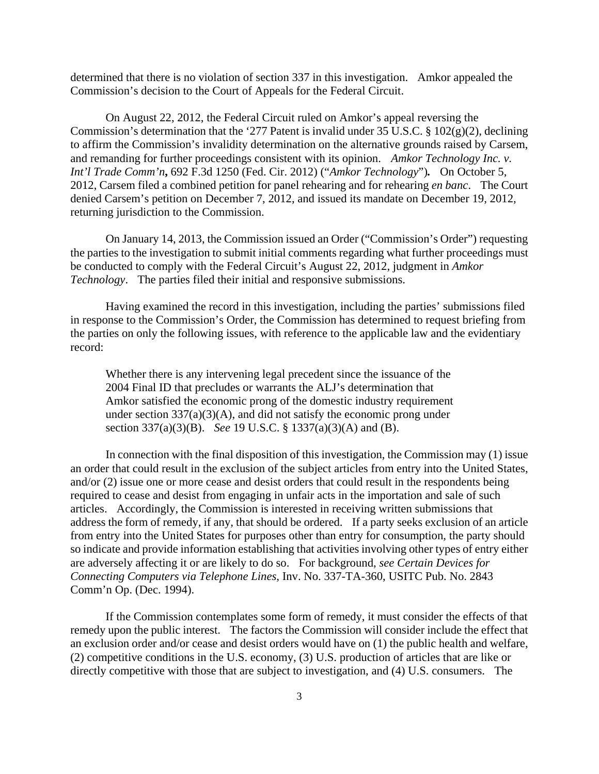determined that there is no violation of section 337 in this investigation. Amkor appealed the Commission's decision to the Court of Appeals for the Federal Circuit.

On August 22, 2012, the Federal Circuit ruled on Amkor's appeal reversing the Commission's determination that the '277 Patent is invalid under 35 U.S.C.  $\S$  102(g)(2), declining to affirm the Commission's invalidity determination on the alternative grounds raised by Carsem, and remanding for further proceedings consistent with its opinion.*Amkor Technology Inc. v. Int'l Trade Comm'n***,** 692 F.3d 1250 (Fed. Cir. 2012) ("*Amkor Technology*")*.* On October 5, 2012, Carsem filed a combined petition for panel rehearing and for rehearing *en banc*. The Court denied Carsem's petition on December 7, 2012, and issued its mandate on December 19, 2012, returning jurisdiction to the Commission.

On January 14, 2013, the Commission issued an Order ("Commission's Order") requesting the parties to the investigation to submit initial comments regarding what further proceedings must be conducted to comply with the Federal Circuit's August 22, 2012, judgment in *Amkor Technology*. The parties filed their initial and responsive submissions.

 Having examined the record in this investigation, including the parties' submissions filed in response to the Commission's Order, the Commission has determined to request briefing from the parties on only the following issues, with reference to the applicable law and the evidentiary record:

Whether there is any intervening legal precedent since the issuance of the 2004 Final ID that precludes or warrants the ALJ's determination that Amkor satisfied the economic prong of the domestic industry requirement under section  $337(a)(3)(A)$ , and did not satisfy the economic prong under section 337(a)(3)(B). *See* 19 U.S.C. § 1337(a)(3)(A) and (B).

 In connection with the final disposition of this investigation, the Commission may (1) issue an order that could result in the exclusion of the subject articles from entry into the United States, and/or (2) issue one or more cease and desist orders that could result in the respondents being required to cease and desist from engaging in unfair acts in the importation and sale of such articles. Accordingly, the Commission is interested in receiving written submissions that address the form of remedy, if any, that should be ordered. If a party seeks exclusion of an article from entry into the United States for purposes other than entry for consumption, the party should so indicate and provide information establishing that activities involving other types of entry either are adversely affecting it or are likely to do so. For background, *see Certain Devices for Connecting Computers via Telephone Lines*, Inv. No. 337-TA-360, USITC Pub. No. 2843 Comm'n Op. (Dec. 1994).

 If the Commission contemplates some form of remedy, it must consider the effects of that remedy upon the public interest. The factors the Commission will consider include the effect that an exclusion order and/or cease and desist orders would have on (1) the public health and welfare, (2) competitive conditions in the U.S. economy, (3) U.S. production of articles that are like or directly competitive with those that are subject to investigation, and (4) U.S. consumers. The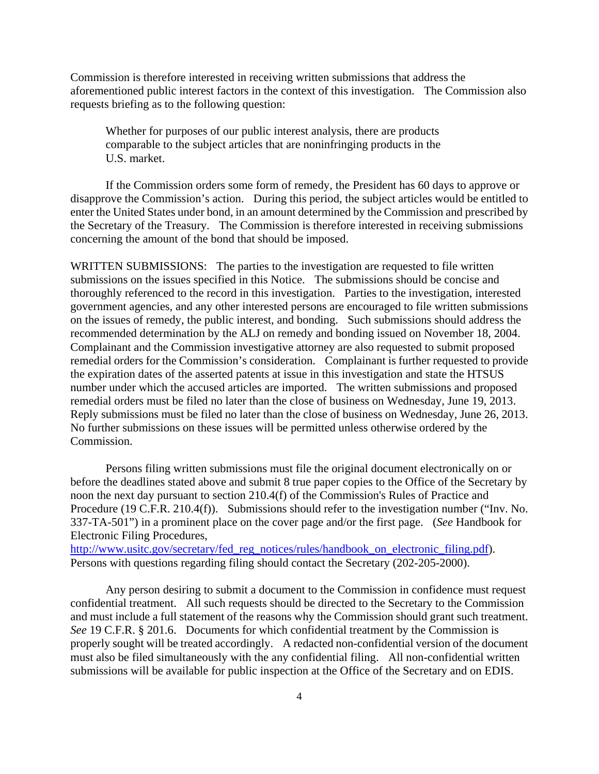Commission is therefore interested in receiving written submissions that address the aforementioned public interest factors in the context of this investigation. The Commission also requests briefing as to the following question:

Whether for purposes of our public interest analysis, there are products comparable to the subject articles that are noninfringing products in the U.S. market.

 If the Commission orders some form of remedy, the President has 60 days to approve or disapprove the Commission's action. During this period, the subject articles would be entitled to enter the United States under bond, in an amount determined by the Commission and prescribed by the Secretary of the Treasury. The Commission is therefore interested in receiving submissions concerning the amount of the bond that should be imposed.

WRITTEN SUBMISSIONS: The parties to the investigation are requested to file written submissions on the issues specified in this Notice. The submissions should be concise and thoroughly referenced to the record in this investigation. Parties to the investigation, interested government agencies, and any other interested persons are encouraged to file written submissions on the issues of remedy, the public interest, and bonding. Such submissions should address the recommended determination by the ALJ on remedy and bonding issued on November 18, 2004. Complainant and the Commission investigative attorney are also requested to submit proposed remedial orders for the Commission's consideration. Complainant is further requested to provide the expiration dates of the asserted patents at issue in this investigation and state the HTSUS number under which the accused articles are imported. The written submissions and proposed remedial orders must be filed no later than the close of business on Wednesday, June 19, 2013. Reply submissions must be filed no later than the close of business on Wednesday, June 26, 2013. No further submissions on these issues will be permitted unless otherwise ordered by the Commission.

 Persons filing written submissions must file the original document electronically on or before the deadlines stated above and submit 8 true paper copies to the Office of the Secretary by noon the next day pursuant to section 210.4(f) of the Commission's Rules of Practice and Procedure (19 C.F.R. 210.4(f)). Submissions should refer to the investigation number ("Inv. No. 337-TA-501") in a prominent place on the cover page and/or the first page. (*See* Handbook for Electronic Filing Procedures,

http://www.usitc.gov/secretary/fed\_reg\_notices/rules/handbook\_on\_electronic\_filing.pdf). Persons with questions regarding filing should contact the Secretary (202-205-2000).

 Any person desiring to submit a document to the Commission in confidence must request confidential treatment. All such requests should be directed to the Secretary to the Commission and must include a full statement of the reasons why the Commission should grant such treatment. *See* 19 C.F.R. § 201.6. Documents for which confidential treatment by the Commission is properly sought will be treated accordingly. A redacted non-confidential version of the document must also be filed simultaneously with the any confidential filing. All non-confidential written submissions will be available for public inspection at the Office of the Secretary and on EDIS.